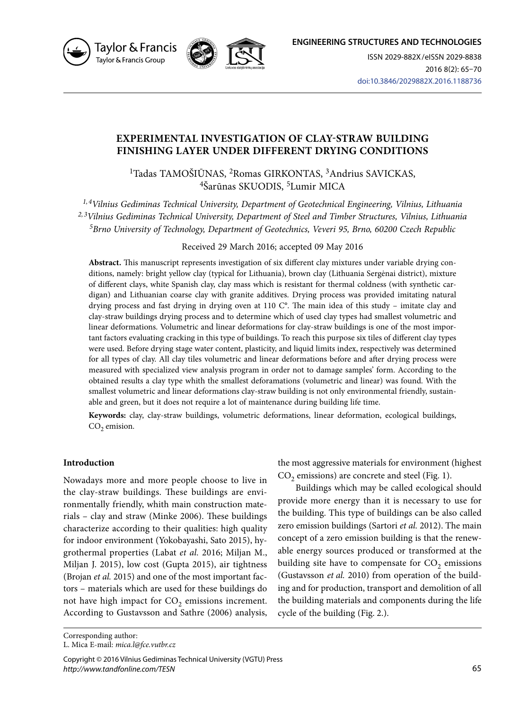

Taylor & Francis Taylor & Francis Group



ISSN 2029-882X/eISSN 2029-8838 2016 8(2): 65–70 doi:10.3846/2029882X.2016.1188736

# **EXPERIMENTAL INVESTIGATION OF CLAY-STRAW BUILDING FINISHING LAYER UNDER DIFFERENT DRYING CONDITIONS**

<sup>1</sup>Tadas TAMOŠIŪNAS, <sup>2</sup>Romas GIRKONTAS, <sup>3</sup>Andrius SAVICKAS, 4Šarūnas SKUODIS, 5Lumir MICA

*1, 4Vilnius Gediminas Technical University, Department of Geotechnical Engineering, Vilnius, Lithuania 2, 3Vilnius Gediminas Technical University, Department of Steel and Timber Structures, Vilnius, Lithuania 5Brno University of Technology, Department of Geotechnics, Veveri 95, Brno, 60200 Czech Republic*

Received 29 March 2016; accepted 09 May 2016

**Abstract.** This manuscript represents investigation of six different clay mixtures under variable drying conditions, namely: bright yellow clay (typical for Lithuania), brown clay (Lithuania Sergėnai district), mixture of different clays, white Spanish clay, clay mass which is resistant for thermal coldness (with synthetic cardigan) and Lithuanian coarse clay with granite additives. Drying process was provided imitating natural drying process and fast drying in drying oven at 110 C°. The main idea of this study – imitate clay and clay-straw buildings drying process and to determine which of used clay types had smallest volumetric and linear deformations. Volumetric and linear deformations for clay-straw buildings is one of the most important factors evaluating cracking in this type of buildings. To reach this purpose six tiles of different clay types were used. Before drying stage water content, plasticity, and liquid limits index, respectively was determined for all types of clay. All clay tiles volumetric and linear deformations before and after drying process were measured with specialized view analysis program in order not to damage samples' form. According to the obtained results a clay type whith the smallest deforamations (volumetric and linear) was found. With the smallest volumetric and linear deformations clay-straw building is not only environmental friendly, sustainable and green, but it does not require a lot of maintenance during building life time.

**Keywords:** clay, clay-straw buildings, volumetric deformations, linear deformation, ecological buildings,  $CO<sub>2</sub>$  emision.

## **Introduction**

Nowadays more and more people choose to live in the clay-straw buildings. These buildings are environmentally friendly, whith main construction materials – clay and straw (Minke 2006). These buildings characterize according to their qualities: high quality for indoor environment (Yokobayashi, Sato 2015), hygrothermal properties (Labat *et al.* 2016; Miljan M., Miljan J. 2015), low cost (Gupta 2015), air tightness (Brojan *et al.* 2015) and one of the most important factors – materials which are used for these buildings do not have high impact for  $CO<sub>2</sub>$  emissions increment. According to Gustavsson and Sathre (2006) analysis,

Corresponding author: L. Mica E-mail: *mica.l@fce.vutbr.cz*

Copyright © 2016 Vilnius Gediminas Technical University (VGTU) Press *http://www.tandfonline.com/TESN*

the most aggressive materials for environment (highest  $CO<sub>2</sub>$  emissions) are concrete and steel (Fig. 1).

Buildings which may be called ecological should provide more energy than it is necessary to use for the building. This type of buildings can be also called zero emission buildings (Sartori *et al.* 2012). The main concept of a zero emission building is that the renewable energy sources produced or transformed at the building site have to compensate for  $CO<sub>2</sub>$  emissions (Gustavsson *et al.* 2010) from operation of the building and for production, transport and demolition of all the building materials and components during the life cycle of the building (Fig. 2.).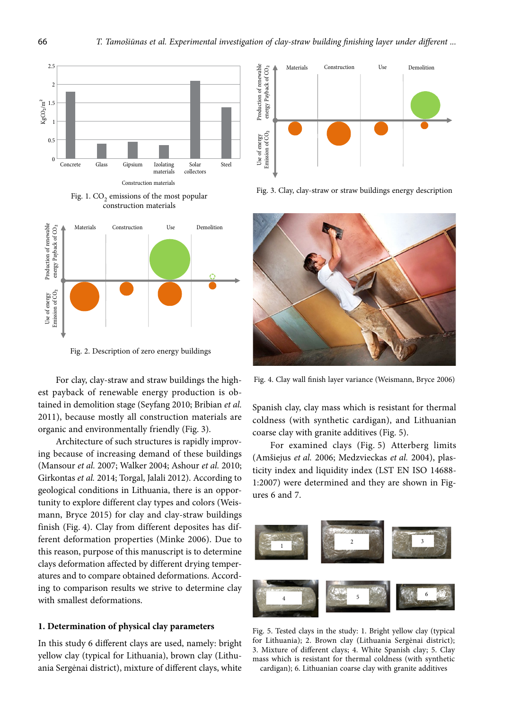

Fig. 1.  $CO<sub>2</sub>$  emissions of the most popular construction materials



Fig. 2. Description of zero energy buildings

For clay, clay-straw and straw buildings the highest payback of renewable energy production is obtained in demolition stage (Seyfang 2010; Bribian *et al.*  2011), because mostly all construction materials are organic and environmentally friendly (Fig. 3).

Architecture of such structures is rapidly improving because of increasing demand of these buildings (Mansour *et al.* 2007; Walker 2004; Ashour *et al.* 2010; Girkontas *et al.* 2014; Torgal, Jalali 2012). According to geological conditions in Lithuania, there is an opportunity to explore different clay types and colors (Weismann, Bryce 2015) for clay and clay-straw buildings finish (Fig. 4). Clay from different deposites has different deformation properties (Minke 2006). Due to this reason, purpose of this manuscript is to determine clays deformation affected by different drying temperatures and to compare obtained deformations. According to comparison results we strive to determine clay with smallest deformations.

# **1. Determination of physical clay parameters**

In this study 6 different clays are used, namely: bright yellow clay (typical for Lithuania), brown clay (Lithuania Sergėnai district), mixture of different clays, white



Fig. 3. Clay, clay-straw or straw buildings energy description



Fig. 4. Clay wall finish layer variance (Weismann, Bryce 2006)

Spanish clay, clay mass which is resistant for thermal coldness (with synthetic cardigan), and Lithuanian coarse clay with granite additives (Fig. 5).

For examined clays (Fig. 5) Atterberg limits (Amšiejus *et al.* 2006; Medzvieckas *et al.* 2004), plasticity index and liquidity index (LST EN ISO 14688- 1:2007) were determined and they are shown in Figures 6 and 7.



Fig. 5. Tested clays in the study: 1. Bright yellow clay (typical for Lithuania); 2. Brown clay (Lithuania Sergėnai district); 3. Mixture of different clays; 4. White Spanish clay; 5. Clay mass which is resistant for thermal coldness (with synthetic cardigan); 6. Lithuanian coarse clay with granite additives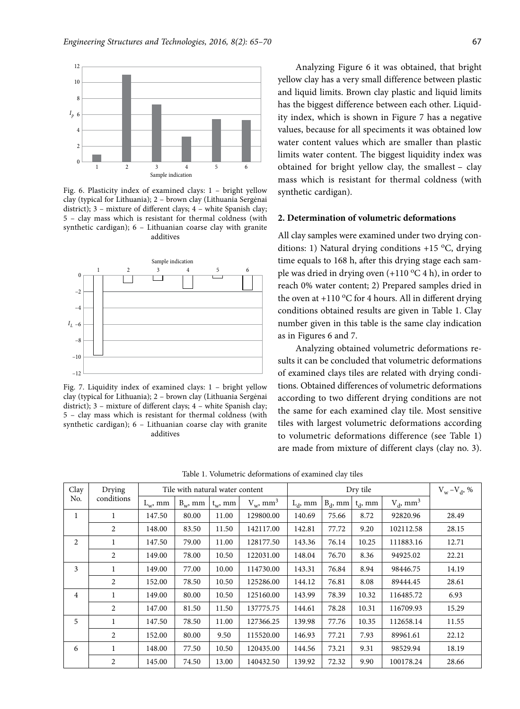

Fig. 6. Plasticity index of examined clays: 1 – bright yellow clay (typical for Lithuania); 2 – brown clay (Lithuania Sergėnai district); 3 – mixture of different clays; 4 – white Spanish clay; 5 – clay mass which is resistant for thermal coldness (with synthetic cardigan); 6 – Lithuanian coarse clay with granite additives



Fig. 7. Liquidity index of examined clays: 1 – bright yellow clay (typical for Lithuania); 2 – brown clay (Lithuania Sergėnai district); 3 – mixture of different clays; 4 – white Spanish clay; 5 – clay mass which is resistant for thermal coldness (with synthetic cardigan); 6 – Lithuanian coarse clay with granite additives

Analyzing Figure 6 it was obtained, that bright yellow clay has a very small difference between plastic and liquid limits. Brown clay plastic and liquid limits has the biggest difference between each other. Liquidity index, which is shown in Figure 7 has a negative values, because for all speciments it was obtained low water content values which are smaller than plastic limits water content. The biggest liquidity index was obtained for bright yellow clay, the smallest – clay mass which is resistant for thermal coldness (with synthetic cardigan).

#### **2. Determination of volumetric deformations**

All clay samples were examined under two drying conditions: 1) Natural drying conditions  $+15$  °C, drying time equals to 168 h, after this drying stage each sample was dried in drying oven  $(+110\degree C 4 h)$ , in order to reach 0% water content; 2) Prepared samples dried in the oven at  $+110$  °C for 4 hours. All in different drying conditions obtained results are given in Table 1. Clay number given in this table is the same clay indication as in Figures 6 and 7.

Analyzing obtained volumetric deformations results it can be concluded that volumetric deformations of examined clays tiles are related with drying conditions. Obtained differences of volumetric deformations according to two different drying conditions are not the same for each examined clay tile. Most sensitive tiles with largest volumetric deformations according to volumetric deformations difference (see Table 1) are made from mixture of different clays (clay no. 3).

| Clay           | Drying         | Tile with natural water content |            |              |                         | Dry tile   |           |                  | $V_w - V_d$ , %         |       |
|----------------|----------------|---------------------------------|------------|--------------|-------------------------|------------|-----------|------------------|-------------------------|-------|
| No.            | conditions     | $L_w$ , mm                      | $B_w$ , mm | $t_{w}$ , mm | $V_w$ , mm <sup>3</sup> | $L_d$ , mm | $Bd$ , mm | $t_{\rm d}$ , mm | $V_d$ , mm <sup>3</sup> |       |
| $\mathbf{1}$   | 1              | 147.50                          | 80.00      | 11.00        | 129800.00               | 140.69     | 75.66     | 8.72             | 92820.96                | 28.49 |
|                | 2              | 148.00                          | 83.50      | 11.50        | 142117.00               | 142.81     | 77.72     | 9.20             | 102112.58               | 28.15 |
| $\overline{2}$ | 1              | 147.50                          | 79.00      | 11.00        | 128177.50               | 143.36     | 76.14     | 10.25            | 111883.16               | 12.71 |
|                | 2              | 149.00                          | 78.00      | 10.50        | 122031.00               | 148.04     | 76.70     | 8.36             | 94925.02                | 22.21 |
| 3              | 1              | 149.00                          | 77.00      | 10.00        | 114730.00               | 143.31     | 76.84     | 8.94             | 98446.75                | 14.19 |
|                | 2              | 152.00                          | 78.50      | 10.50        | 125286.00               | 144.12     | 76.81     | 8.08             | 89444.45                | 28.61 |
| $\overline{4}$ |                | 149.00                          | 80.00      | 10.50        | 125160.00               | 143.99     | 78.39     | 10.32            | 116485.72               | 6.93  |
|                | $\overline{2}$ | 147.00                          | 81.50      | 11.50        | 137775.75               | 144.61     | 78.28     | 10.31            | 116709.93               | 15.29 |
| 5              | 1              | 147.50                          | 78.50      | 11.00        | 127366.25               | 139.98     | 77.76     | 10.35            | 112658.14               | 11.55 |
|                | 2              | 152.00                          | 80.00      | 9.50         | 115520.00               | 146.93     | 77.21     | 7.93             | 89961.61                | 22.12 |
| 6              | 1              | 148.00                          | 77.50      | 10.50        | 120435.00               | 144.56     | 73.21     | 9.31             | 98529.94                | 18.19 |
|                | 2              | 145.00                          | 74.50      | 13.00        | 140432.50               | 139.92     | 72.32     | 9.90             | 100178.24               | 28.66 |
|                |                |                                 |            |              |                         |            |           |                  |                         |       |

Table 1. Volumetric deformations of examined clay tiles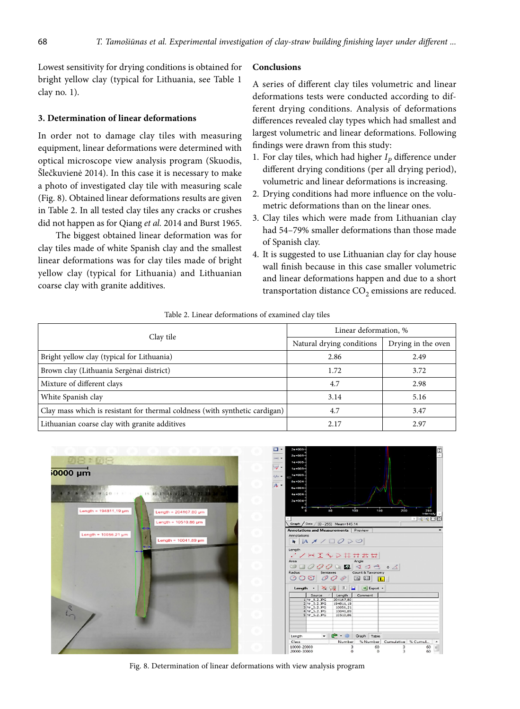Lowest sensitivity for drying conditions is obtained for bright yellow clay (typical for Lithuania, see Table 1 clay no. 1).

#### **3. Determination of linear deformations**

In order not to damage clay tiles with measuring equipment, linear deformations were determined with optical microscope view analysis program (Skuodis, Šlečkuvienė 2014). In this case it is necessary to make a photo of investigated clay tile with measuring scale (Fig. 8). Obtained linear deformations results are given in Table 2. In all tested clay tiles any cracks or crushes did not happen as for Qiang *et al.* 2014 and Burst 1965.

The biggest obtained linear deformation was for clay tiles made of white Spanish clay and the smallest linear deformations was for clay tiles made of bright yellow clay (typical for Lithuania) and Lithuanian coarse clay with granite additives.

## **Conclusions**

A series of different clay tiles volumetric and linear deformations tests were conducted according to different drying conditions. Analysis of deformations differences revealed clay types which had smallest and largest volumetric and linear deformations. Following findings were drawn from this study:

- 1. For clay tiles, which had higher  $I_p$  difference under different drying conditions (per all drying period), volumetric and linear deformations is increasing.
- 2. Drying conditions had more influence on the volumetric deformations than on the linear ones.
- 3. Clay tiles which were made from Lithuanian clay had 54–79% smaller deformations than those made of Spanish clay.
- 4. It is suggested to use Lithuanian clay for clay house wall finish because in this case smaller volumetric and linear deformations happen and due to a short transportation distance  $CO<sub>2</sub>$  emissions are reduced.

| Table 2. Linear deformations of examined clay tiles |  |  |  |
|-----------------------------------------------------|--|--|--|
|-----------------------------------------------------|--|--|--|

|                                                                             | Linear deformation, %     |                    |  |  |
|-----------------------------------------------------------------------------|---------------------------|--------------------|--|--|
| Clay tile                                                                   | Natural drying conditions | Drying in the oven |  |  |
| Bright yellow clay (typical for Lithuania)                                  | 2.86                      | 2.49               |  |  |
| Brown clay (Lithuania Sergėnai district)                                    | 1.72                      | 3.72               |  |  |
| Mixture of different clays                                                  | 4.7                       | 2.98               |  |  |
| White Spanish clay                                                          | 3.14                      | 5.16               |  |  |
| Clay mass which is resistant for thermal coldness (with synthetic cardigan) | 4.7                       | 3.47               |  |  |
| Lithuanian coarse clay with granite additives                               | 2.17                      | 2.97               |  |  |



Fig. 8. Determination of linear deformations with view analysis program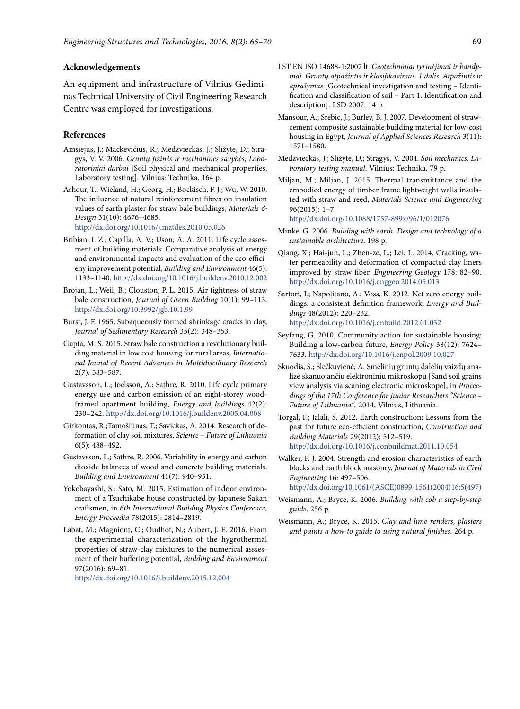#### **Acknowledgements**

An equipment and infrastructure of Vilnius Gediminas Technical University of Civil Engineering Research Centre was employed for investigations.

#### **References**

- Amšiejus, J.; Mackevičius, R.; Medzvieckas, J.; Sližytė, D.; Stragys, V. V. 2006. *Gruntų fizinės ir mechaninės savybės, Laboratoriniai darbai* [Soil physical and mechanical properties, Laboratory testing]. Vilnius: Technika. 164 p.
- Ashour, T.; Wieland, H.; Georg, H.; Bockisch, F. J.; Wu, W. 2010. The influence of natural reinforcement fibres on insulation values of earth plaster for straw bale buildings, *Materials & Design* 31(10): 4676–4685.

http://dx.doi.org/10.1016/j.matdes.2010.05.026

- Bribian, I. Z.; Capilla, A. V.; Uson, A. A. 2011. Life cycle assesment of building materials: Comparative analysis of energy and environmental impacts and evaluation of the eco-efficieny improvement potential, *Building and Environment* 46(5): 1133–1140. http://dx.doi.org/10.1016/j.buildenv.2010.12.002
- Brojan, L.; Weil, B.; Clouston, P. L. 2015. Air tightness of straw bale construction, *Journal of Green Building* 10(1): 99–113. http://dx.doi.org/10.3992/jgb.10.1.99
- Burst, J. F. 1965. Subaqueously formed shrinkage cracks in clay, *Journal of Sedimentary Research* 35(2): 348–353.
- Gupta, M. S. 2015. Straw bale construction a revolutionary building material in low cost housing for rural areas, *International Jounal of Recent Advances in Multidiscilinary Research* 2(7): 583–587.
- Gustavsson, L.; Joelsson, A.; Sathre, R. 2010. Life cycle primary energy use and carbon emission of an eight-storey woodframed apartment building, *Energy and buildings* 42(2): 230–242. http://dx.doi.org/10.1016/j.buildenv.2005.04.008
- Girkontas, R.;Tamošiūnas, T.; Savickas, A. 2014. Research of deformation of clay soil mixtures, *Science – Future of Lithuania* 6(5): 488–492.
- Gustavsson, L.; Sathre, R. 2006. Variability in energy and carbon dioxide balances of wood and concrete building materials. *Building and Environment* 41(7): 940–951.
- Yokobayashi, S.; Sato, M. 2015. Estimation of indoor environment of a Tsuchikabe house constructed by Japanese Sakan craftsmen, in *6th International Building Physics Conference, Energy Proceedia* 78(2015): 2814–2819.
- Labat, M.; Magniont, C.; Oudhof, N.; Aubert, J. E. 2016. From the experimental characterization of the hygrothermal properties of straw-clay mixtures to the numerical asssesment of their buffering potential, *Building and Environment* 97(2016): 69–81.

http://dx.doi.org/10.1016/j.buildenv.2015.12.004

- LST EN ISO 14688-1:2007 lt. *Geotechniniai tyrinėjimai ir bandymai. Gruntų atpažintis ir klasifikavimas. 1 dalis. Atpažintis ir aprašymas* [Geotechnical investigation and testing – Identification and classification of soil – Part 1: Identification and description]. LSD 2007. 14 p.
- Mansour, A.; Srebic, J.; Burley, B. J. 2007. Development of strawcement composite sustainable building material for low-cost housing in Egypt, *Journal of Applied Sciences Research* 3(11): 1571–1580.
- Medzvieckas, J.; Sližytė, D.; Stragys, V. 2004. *Soil mechanics. Laboratory testing manual*. Vilnius: Technika. 79 p.
- Miljan, M.; Miljan, J. 2015. Thermal transmittance and the embodied energy of timber frame lightweight walls insulated with straw and reed, *Materials Science and Engineering* 96(2015): 1–7.

http://dx.doi.org/10.1088/1757-899x/96/1/012076

- Minke, G. 2006. *Building with earth. Design and technology of a sustainable architecture*. 198 p.
- Qiang, X.; Hai-jun, L.; Zhen-ze, L.; Lei, L. 2014. Cracking, water permeability and deformation of compacted clay liners improved by straw fiber, *Engineering Geology* 178: 82–90. http://dx.doi.org/10.1016/j.enggeo.2014.05.013
- Sartori, I.; Napolitano, A.; Voss, K. 2012. Net zero energy buildings: a consistent definition framework, *Energy and Buildings* 48(2012): 220–232.
	- http://dx.doi.org/10.1016/j.enbuild.2012.01.032
- Seyfang, G. 2010. Community action for sustainable housing: Building a low-carbon future, *Energy Policy* 38(12): 7624– 7633. http://dx.doi.org/10.1016/j.enpol.2009.10.027
- Skuodis, Š.; Šlečkuvienė, A. Smėlinių gruntų dalelių vaizdų analizė skanuojančiu elektroniniu mikroskopu [Sand soil grains view analysis via scaning electronic microskope], in *Proceedings of the 17th Conference for Junior Researchers "Science – Future of Lithuania",* 2014, Vilnius, Lithuania.
- Torgal, F.; Jalali, S. 2012. Earth construction: Lessons from the past for future eco-efficient construction*, Construction and Building Materials* 29(2012): 512–519. http://dx.doi.org/10.1016/j.conbuildmat.2011.10.054
- Walker, P. J. 2004. Strength and erosion characteristics of earth blocks and earth block masonry, *Journal of Materials in Civil Engineering* 16: 497–506.

http://dx.doi.org/10.1061/(ASCE)0899-1561(2004)16:5(497)

- Weismann, A.; Bryce, K. 2006. *Building with cob a step-by-step guide*. 256 p.
- Weismann, A.; Bryce, K. 2015. *Clay and lime renders, plasters and paints a how-to guide to using natural finishes*. 264 p.